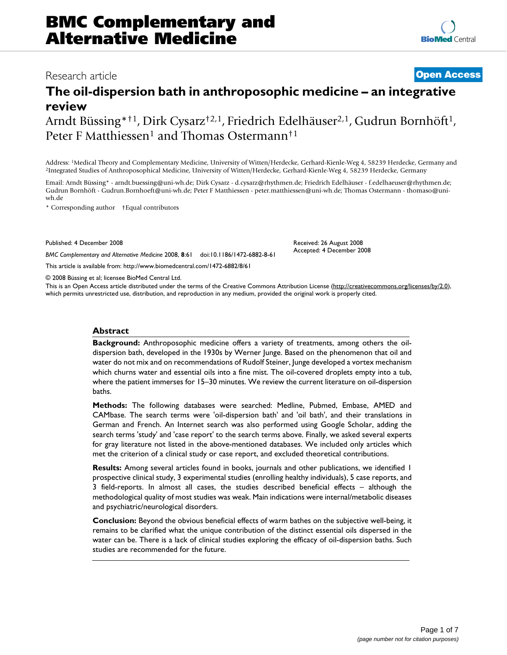# Research article **[Open Access](http://www.biomedcentral.com/info/about/charter/) The oil-dispersion bath in anthroposophic medicine – an integrative**

Received: 26 August 2008 Accepted: 4 December 2008

**review** Arndt Büssing\*<sup>†1</sup>, Dirk Cysarz<sup>†2,1</sup>, Friedrich Edelhäuser<sup>2,1</sup>, Gudrun Bornhöft<sup>1</sup>, Peter F Matthiessen<sup>1</sup> and Thomas Ostermann<sup>†1</sup>

Address: <sup>1</sup>Medical Theory and Complementary Medicine, University of Witten/Herdecke, Gerhard-Kienle-Weg 4, 58239 Herdecke, Germany and <sup>2</sup>Integrated Studies of Anthroposophical Medicine, University of Witten/Herdecke, Ger

Email: Arndt Büssing\* - arndt.buessing@uni-wh.de; Dirk Cysarz - d.cysarz@rhythmen.de; Friedrich Edelhäuser - f.edelhaeuser@rhythmen.de; Gudrun Bornhöft - Gudrun.Bornhoeft@uni-wh.de; Peter F Matthiessen - peter.matthiessen@uni-wh.de; Thomas Ostermann - thomaso@uniwh.de

\* Corresponding author †Equal contributors

Published: 4 December 2008

*BMC Complementary and Alternative Medicine* 2008, **8**:61 doi:10.1186/1472-6882-8-61

[This article is available from: http://www.biomedcentral.com/1472-6882/8/61](http://www.biomedcentral.com/1472-6882/8/61)

© 2008 Büssing et al; licensee BioMed Central Ltd.

This is an Open Access article distributed under the terms of the Creative Commons Attribution License [\(http://creativecommons.org/licenses/by/2.0\)](http://creativecommons.org/licenses/by/2.0), which permits unrestricted use, distribution, and reproduction in any medium, provided the original work is properly cited.

#### **Abstract**

**Background:** Anthroposophic medicine offers a variety of treatments, among others the oildispersion bath, developed in the 1930s by Werner Junge. Based on the phenomenon that oil and water do not mix and on recommendations of Rudolf Steiner, Junge developed a vortex mechanism which churns water and essential oils into a fine mist. The oil-covered droplets empty into a tub, where the patient immerses for 15–30 minutes. We review the current literature on oil-dispersion baths.

**Methods:** The following databases were searched: Medline, Pubmed, Embase, AMED and CAMbase. The search terms were 'oil-dispersion bath' and 'oil bath', and their translations in German and French. An Internet search was also performed using Google Scholar, adding the search terms 'study' and 'case report' to the search terms above. Finally, we asked several experts for gray literature not listed in the above-mentioned databases. We included only articles which met the criterion of a clinical study or case report, and excluded theoretical contributions.

**Results:** Among several articles found in books, journals and other publications, we identified 1 prospective clinical study, 3 experimental studies (enrolling healthy individuals), 5 case reports, and 3 field-reports. In almost all cases, the studies described beneficial effects – although the methodological quality of most studies was weak. Main indications were internal/metabolic diseases and psychiatric/neurological disorders.

**Conclusion:** Beyond the obvious beneficial effects of warm bathes on the subjective well-being, it remains to be clarified what the unique contribution of the distinct essential oils dispersed in the water can be. There is a lack of clinical studies exploring the efficacy of oil-dispersion baths. Such studies are recommended for the future.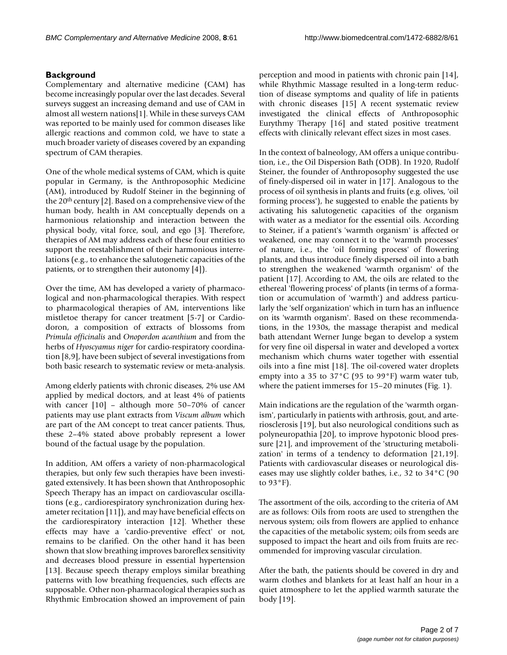## **Background**

Complementary and alternative medicine (CAM) has become increasingly popular over the last decades. Several surveys suggest an increasing demand and use of CAM in almost all western nations[1]. While in these surveys CAM was reported to be mainly used for common diseases like allergic reactions and common cold, we have to state a much broader variety of diseases covered by an expanding spectrum of CAM therapies.

One of the whole medical systems of CAM, which is quite popular in Germany, is the Anthroposophic Medicine (AM), introduced by Rudolf Steiner in the beginning of the 20th century [2]. Based on a comprehensive view of the human body, health in AM conceptually depends on a harmonious relationship and interaction between the physical body, vital force, soul, and ego [3]. Therefore, therapies of AM may address each of these four entities to support the reestablishment of their harmonious interrelations (e.g., to enhance the salutogenetic capacities of the patients, or to strengthen their autonomy [4]).

Over the time, AM has developed a variety of pharmacological and non-pharmacological therapies. With respect to pharmacological therapies of AM, interventions like mistletoe therapy for cancer treatment [5-7] or Cardiodoron, a composition of extracts of blossoms from *Primula officinalis* and *Onopordon acanthium* and from the herbs of *Hyoscyamus niger* for cardio-respiratory coordination [8,9], have been subject of several investigations from both basic research to systematic review or meta-analysis.

Among elderly patients with chronic diseases, 2% use AM applied by medical doctors, and at least 4% of patients with cancer [10] – although more 50–70% of cancer patients may use plant extracts from *Viscum album* which are part of the AM concept to treat cancer patients. Thus, these 2–4% stated above probably represent a lower bound of the factual usage by the population.

In addition, AM offers a variety of non-pharmacological therapies, but only few such therapies have been investigated extensively. It has been shown that Anthroposophic Speech Therapy has an impact on cardiovascular oscillations (e.g., cardiorespiratory synchronization during hexameter recitation [11]), and may have beneficial effects on the cardiorespiratory interaction [12]. Whether these effects may have a 'cardio-preventive effect' or not, remains to be clarified. On the other hand it has been shown that slow breathing improves baroreflex sensitivity and decreases blood pressure in essential hypertension [13]. Because speech therapy employs similar breathing patterns with low breathing frequencies, such effects are supposable. Other non-pharmacological therapies such as Rhythmic Embrocation showed an improvement of pain

perception and mood in patients with chronic pain [14], while Rhythmic Massage resulted in a long-term reduction of disease symptoms and quality of life in patients with chronic diseases [15] A recent systematic review investigated the clinical effects of Anthroposophic Eurythmy Therapy [16] and stated positive treatment effects with clinically relevant effect sizes in most cases.

In the context of balneology, AM offers a unique contribution, i.e., the Oil Dispersion Bath (ODB). In 1920, Rudolf Steiner, the founder of Anthroposophy suggested the use of finely-dispersed oil in water in [17]. Analogous to the process of oil synthesis in plants and fruits (e.g. olives, 'oil forming process'), he suggested to enable the patients by activating his salutogenetic capacities of the organism with water as a mediator for the essential oils. According to Steiner, if a patient's 'warmth organism' is affected or weakened, one may connect it to the 'warmth processes' of nature, i.e., the 'oil forming process' of flowering plants, and thus introduce finely dispersed oil into a bath to strengthen the weakened 'warmth organism' of the patient [17]. According to AM, the oils are related to the ethereal 'flowering process' of plants (in terms of a formation or accumulation of 'warmth') and address particularly the 'self organization' which in turn has an influence on its 'warmth organism'. Based on these recommendations, in the 1930s, the massage therapist and medical bath attendant Werner Junge began to develop a system for very fine oil dispersal in water and developed a vortex mechanism which churns water together with essential oils into a fine mist [18]. The oil-covered water droplets empty into a 35 to 37°C (95 to 99°F) warm water tub, where the patient immerses for 15–20 minutes (Fig. 1).

Main indications are the regulation of the 'warmth organism', particularly in patients with arthrosis, gout, and arteriosclerosis [19], but also neurological conditions such as polyneuropathia [20], to improve hypotonic blood pressure [21], and improvement of the 'structuring metabolization' in terms of a tendency to deformation [21,19]. Patients with cardiovascular diseases or neurological diseases may use slightly colder bathes, i.e., 32 to 34°C (90 to 93°F).

The assortment of the oils, according to the criteria of AM are as follows: Oils from roots are used to strengthen the nervous system; oils from flowers are applied to enhance the capacities of the metabolic system; oils from seeds are supposed to impact the heart and oils from fruits are recommended for improving vascular circulation.

After the bath, the patients should be covered in dry and warm clothes and blankets for at least half an hour in a quiet atmosphere to let the applied warmth saturate the body [19].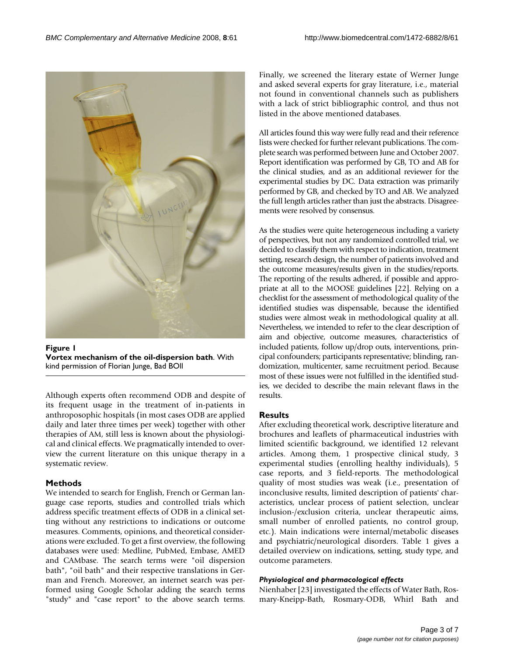

**Figure 1 Vortex mechanism of the oil-dispersion bath**. With kind permission of Florian Junge, Bad BOll

Although experts often recommend ODB and despite of its frequent usage in the treatment of in-patients in anthroposophic hospitals (in most cases ODB are applied daily and later three times per week) together with other therapies of AM, still less is known about the physiological and clinical effects. We pragmatically intended to overview the current literature on this unique therapy in a systematic review.

# **Methods**

We intended to search for English, French or German language case reports, studies and controlled trials which address specific treatment effects of ODB in a clinical setting without any restrictions to indications or outcome measures. Comments, opinions, and theoretical considerations were excluded. To get a first overview, the following databases were used: Medline, PubMed, Embase, AMED and CAMbase. The search terms were "oil dispersion bath", "oil bath" and their respective translations in German and French. Moreover, an internet search was performed using Google Scholar adding the search terms "study" and "case report" to the above search terms.

Finally, we screened the literary estate of Werner Junge and asked several experts for gray literature, i.e., material not found in conventional channels such as publishers with a lack of strict bibliographic control, and thus not listed in the above mentioned databases.

All articles found this way were fully read and their reference lists were checked for further relevant publications. The complete search was performed between June and October 2007. Report identification was performed by GB, TO and AB for the clinical studies, and as an additional reviewer for the experimental studies by DC. Data extraction was primarily performed by GB, and checked by TO and AB. We analyzed the full length articles rather than just the abstracts. Disagreements were resolved by consensus.

As the studies were quite heterogeneous including a variety of perspectives, but not any randomized controlled trial, we decided to classify them with respect to indication, treatment setting, research design, the number of patients involved and the outcome measures/results given in the studies/reports. The reporting of the results adhered, if possible and appropriate at all to the MOOSE guidelines [22]. Relying on a checklist for the assessment of methodological quality of the identified studies was dispensable, because the identified studies were almost weak in methodological quality at all. Nevertheless, we intended to refer to the clear description of aim and objective, outcome measures, characteristics of included patients, follow up/drop outs, interventions, principal confounders; participants representative; blinding, randomization, multicenter, same recruitment period. Because most of these issues were not fulfilled in the identified studies, we decided to describe the main relevant flaws in the results.

# **Results**

After excluding theoretical work, descriptive literature and brochures and leaflets of pharmaceutical industries with limited scientific background, we identified 12 relevant articles. Among them, 1 prospective clinical study, 3 experimental studies (enrolling healthy individuals), 5 case reports, and 3 field-reports. The methodological quality of most studies was weak (i.e., presentation of inconclusive results, limited description of patients' characteristics, unclear process of patient selection, unclear inclusion-/exclusion criteria, unclear therapeutic aims, small number of enrolled patients, no control group, etc.). Main indications were internal/metabolic diseases and psychiatric/neurological disorders. Table 1 gives a detailed overview on indications, setting, study type, and outcome parameters.

### *Physiological and pharmacological effects*

Nienhaber [23] investigated the effects of Water Bath, Rosmary-Kneipp-Bath, Rosmary-ODB, Whirl Bath and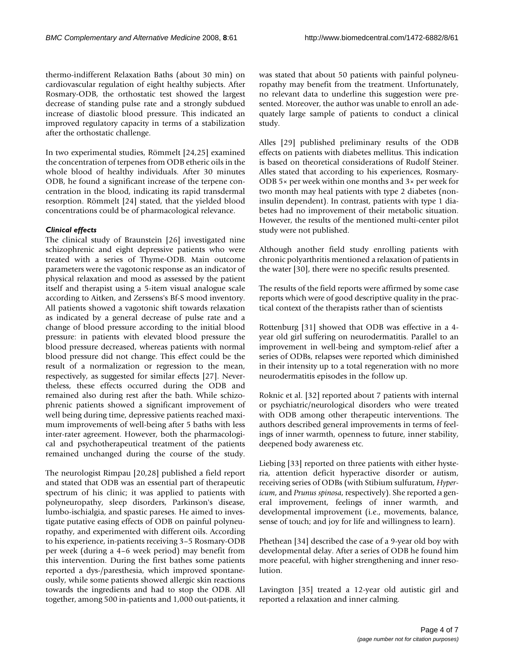thermo-indifferent Relaxation Baths (about 30 min) on cardiovascular regulation of eight healthy subjects. After Rosmary-ODB, the orthostatic test showed the largest decrease of standing pulse rate and a strongly subdued increase of diastolic blood pressure. This indicated an improved regulatory capacity in terms of a stabilization after the orthostatic challenge.

In two experimental studies, Römmelt [24,25] examined the concentration of terpenes from ODB etheric oils in the whole blood of healthy individuals. After 30 minutes ODB, he found a significant increase of the terpene concentration in the blood, indicating its rapid transdermal resorption. Römmelt [24] stated, that the yielded blood concentrations could be of pharmacological relevance.

#### *Clinical effects*

The clinical study of Braunstein [26] investigated nine schizophrenic and eight depressive patients who were treated with a series of Thyme-ODB. Main outcome parameters were the vagotonic response as an indicator of physical relaxation and mood as assessed by the patient itself and therapist using a 5-item visual analogue scale according to Aitken, and Zerssens's Bf-S mood inventory. All patients showed a vagotonic shift towards relaxation as indicated by a general decrease of pulse rate and a change of blood pressure according to the initial blood pressure: in patients with elevated blood pressure the blood pressure decreased, whereas patients with normal blood pressure did not change. This effect could be the result of a normalization or regression to the mean, respectively, as suggested for similar effects [27]. Nevertheless, these effects occurred during the ODB and remained also during rest after the bath. While schizophrenic patients showed a significant improvement of well being during time, depressive patients reached maximum improvements of well-being after 5 baths with less inter-rater agreement. However, both the pharmacological and psychotherapeutical treatment of the patients remained unchanged during the course of the study.

The neurologist Rimpau [20,28] published a field report and stated that ODB was an essential part of therapeutic spectrum of his clinic; it was applied to patients with polyneuropathy, sleep disorders, Parkinson's disease, lumbo-ischialgia, and spastic pareses. He aimed to investigate putative easing effects of ODB on painful polyneuropathy, and experimented with different oils. According to his experience, in-patients receiving 3–5 Rosmary-ODB per week (during a 4–6 week period) may benefit from this intervention. During the first bathes some patients reported a dys-/paresthesia, which improved spontaneously, while some patients showed allergic skin reactions towards the ingredients and had to stop the ODB. All together, among 500 in-patients and 1,000 out-patients, it was stated that about 50 patients with painful polyneuropathy may benefit from the treatment. Unfortunately, no relevant data to underline this suggestion were presented. Moreover, the author was unable to enroll an adequately large sample of patients to conduct a clinical study.

Alles [29] published preliminary results of the ODB effects on patients with diabetes mellitus. This indication is based on theoretical considerations of Rudolf Steiner. Alles stated that according to his experiences, Rosmary-ODB 5× per week within one months and 3× per week for two month may heal patients with type 2 diabetes (noninsulin dependent). In contrast, patients with type 1 diabetes had no improvement of their metabolic situation. However, the results of the mentioned multi-center pilot study were not published.

Although another field study enrolling patients with chronic polyarthritis mentioned a relaxation of patients in the water [30], there were no specific results presented.

The results of the field reports were affirmed by some case reports which were of good descriptive quality in the practical context of the therapists rather than of scientists

Rottenburg [31] showed that ODB was effective in a 4 year old girl suffering on neurodermatitis. Parallel to an improvement in well-being and symptom-relief after a series of ODBs, relapses were reported which diminished in their intensity up to a total regeneration with no more neurodermatitis episodes in the follow up.

Roknic et al. [32] reported about 7 patients with internal or psychiatric/neurological disorders who were treated with ODB among other therapeutic interventions. The authors described general improvements in terms of feelings of inner warmth, openness to future, inner stability, deepened body awareness etc.

Liebing [33] reported on three patients with either hysteria, attention deficit hyperactive disorder or autism, receiving series of ODBs (with Stibium sulfuratum, *Hypericum*, and *Prunus spinosa*, respectively). She reported a general improvement, feelings of inner warmth, and developmental improvement (i.e., movements, balance, sense of touch; and joy for life and willingness to learn).

Phethean [34] described the case of a 9-year old boy with developmental delay. After a series of ODB he found him more peaceful, with higher strengthening and inner resolution.

Lavington [35] treated a 12-year old autistic girl and reported a relaxation and inner calming.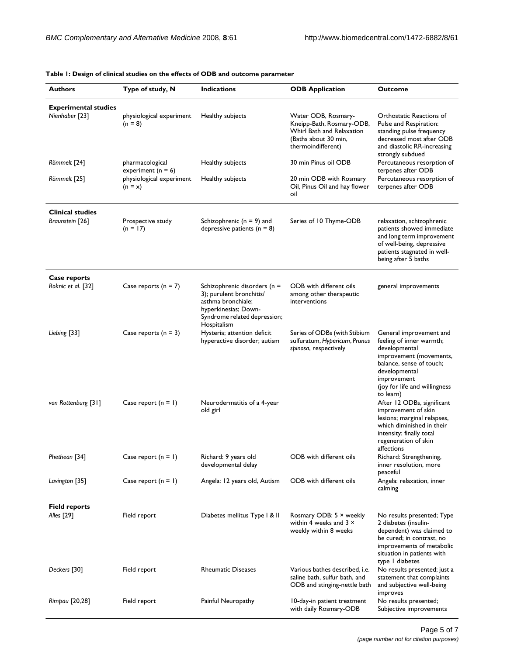| <b>Authors</b>                                | Type of study, N                                | <b>Indications</b>                                                                                                                                    | <b>ODB</b> Application                                                                                                      | <b>Outcome</b>                                                                                                                                                                                                                                                                                                                                                                 |
|-----------------------------------------------|-------------------------------------------------|-------------------------------------------------------------------------------------------------------------------------------------------------------|-----------------------------------------------------------------------------------------------------------------------------|--------------------------------------------------------------------------------------------------------------------------------------------------------------------------------------------------------------------------------------------------------------------------------------------------------------------------------------------------------------------------------|
| <b>Experimental studies</b><br>Nienhaber [23] | physiological experiment<br>$(n = 8)$           | Healthy subjects                                                                                                                                      | Water ODB, Rosmary-<br>Kneipp-Bath, Rosmary-ODB,<br>Whirl Bath and Relaxation<br>(Baths about 30 min,<br>thermoindifferent) | Orthostatic Reactions of<br>Pulse and Respiration:<br>standing pulse frequency<br>decreased most after ODB<br>and diastolic RR-increasing<br>strongly subdued                                                                                                                                                                                                                  |
| Römmelt [24]                                  | pharmacological<br>experiment ( $n = 6$ )       | Healthy subjects                                                                                                                                      | 30 min Pinus oil ODB                                                                                                        | Percutaneous resorption of<br>terpenes after ODB                                                                                                                                                                                                                                                                                                                               |
| Römmelt [25]                                  | physiological experiment<br>$(n = x)$           | Healthy subjects                                                                                                                                      | 20 min ODB with Rosmary<br>Oil, Pinus Oil and hay flower<br>oil                                                             | Percutaneous resorption of<br>terpenes after ODB                                                                                                                                                                                                                                                                                                                               |
| <b>Clinical studies</b><br>Braunstein [26]    | Prospective study<br>$(n = 17)$                 | Schizophrenic ( $n = 9$ ) and<br>depressive patients ( $n = 8$ )                                                                                      | Series of 10 Thyme-ODB                                                                                                      | relaxation, schizophrenic<br>patients showed immediate<br>and long term improvement<br>of well-being, depressive<br>patients stagnated in well-<br>being after 5 baths                                                                                                                                                                                                         |
| Case reports<br>Roknic et al. [32]            | Case reports $(n = 7)$                          | Schizophrenic disorders (n =<br>3); purulent bronchitis/<br>asthma bronchiale;<br>hyperkinesias; Down-<br>Syndrome related depression;<br>Hospitalism | ODB with different oils<br>among other therapeutic<br>interventions                                                         | general improvements                                                                                                                                                                                                                                                                                                                                                           |
| Liebing [33]<br>von Rottenburg [31]           | Case reports $(n = 3)$<br>Case report $(n = 1)$ | Hysteria; attention deficit<br>hyperactive disorder; autism<br>Neurodermatitis of a 4-year<br>old girl                                                | Series of ODBs (with Stibium<br>sulfuratum, Hypericum, Prunus<br>spinosa, respectively                                      | General improvement and<br>feeling of inner warmth;<br>developmental<br>improvement (movements,<br>balance, sense of touch;<br>developmental<br>improvement<br>(joy for life and willingness<br>to learn)<br>After 12 ODBs, significant<br>improvement of skin<br>lesions; marginal relapses,<br>which diminished in their<br>intensity; finally total<br>regeneration of skin |
| Phethean [34]                                 | Case report $(n = 1)$                           | Richard: 9 years old<br>developmental delay                                                                                                           | ODB with different oils                                                                                                     | affections<br>Richard: Strengthening,<br>inner resolution, more<br>peaceful                                                                                                                                                                                                                                                                                                    |
| Lavington [35]                                | Case report $(n = 1)$                           | Angela: 12 years old, Autism                                                                                                                          | ODB with different oils                                                                                                     | Angela: relaxation, inner<br>calming                                                                                                                                                                                                                                                                                                                                           |
| <b>Field reports</b><br>Alles [29]            | Field report                                    | Diabetes mellitus Type I & II                                                                                                                         | Rosmary ODB: 5 × weekly<br>within 4 weeks and $3 \times$<br>weekly within 8 weeks                                           | No results presented; Type<br>2 diabetes (insulin-<br>dependent) was claimed to<br>be cured; in contrast, no<br>improvements of metabolic<br>situation in patients with<br>type I diabetes                                                                                                                                                                                     |
| Deckers [30]                                  | Field report                                    | <b>Rheumatic Diseases</b>                                                                                                                             | Various bathes described, i.e.<br>saline bath, sulfur bath, and<br>ODB and stinging-nettle bath                             | No results presented; just a<br>statement that complaints<br>and subjective well-being<br>improves                                                                                                                                                                                                                                                                             |
| Rimpau [20,28]                                | Field report                                    | Painful Neuropathy                                                                                                                                    | 10-day-in patient treatment<br>with daily Rosmary-ODB                                                                       | No results presented;<br>Subjective improvements                                                                                                                                                                                                                                                                                                                               |

#### **Table 1: Design of clinical studies on the effects of ODB and outcome parameter**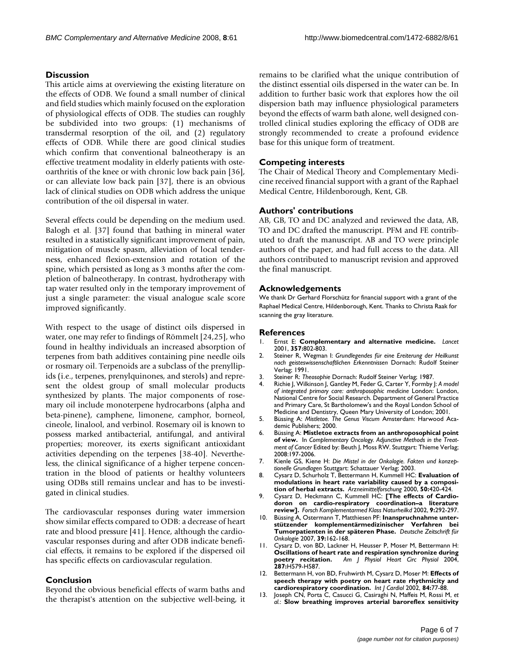#### **Discussion**

This article aims at overviewing the existing literature on the effects of ODB. We found a small number of clinical and field studies which mainly focused on the exploration of physiological effects of ODB. The studies can roughly be subdivided into two groups: (1) mechanisms of transdermal resorption of the oil, and (2) regulatory effects of ODB. While there are good clinical studies which confirm that conventional balneotherapy is an effective treatment modality in elderly patients with osteoarthritis of the knee or with chronic low back pain [36], or can alleviate low back pain [37], there is an obvious lack of clinical studies on ODB which address the unique contribution of the oil dispersal in water.

Several effects could be depending on the medium used. Balogh et al. [37] found that bathing in mineral water resulted in a statistically significant improvement of pain, mitigation of muscle spasm, alleviation of local tenderness, enhanced flexion-extension and rotation of the spine, which persisted as long as 3 months after the completion of balneotherapy. In contrast, hydrotherapy with tap water resulted only in the temporary improvement of just a single parameter: the visual analogue scale score improved significantly.

With respect to the usage of distinct oils dispersed in water, one may refer to findings of Römmelt [24,25], who found in healthy individuals an increased absorption of terpenes from bath additives containing pine needle oils or rosmary oil. Terpenoids are a subclass of the prenyllipids (i.e., terpenes, prenylquinones, and sterols) and represent the oldest group of small molecular products synthesized by plants. The major components of rosemary oil include monoterpene hydrocarbons (alpha and beta-pinene), camphene, limonene, camphor, borneol, cineole, linalool, and verbinol. Rosemary oil is known to possess marked antibacterial, antifungal, and antiviral properties; moreover, its exerts significant antioxidant activities depending on the terpenes [38-40]. Nevertheless, the clinical significance of a higher terpene concentration in the blood of patients or healthy volunteers using ODBs still remains unclear and has to be investigated in clinical studies.

The cardiovascular responses during water immersion show similar effects compared to ODB: a decrease of heart rate and blood pressure [41]. Hence, although the cardiovascular responses during and after ODB indicate beneficial effects, it remains to be explored if the dispersed oil has specific effects on cardiovascular regulation.

#### **Conclusion**

Beyond the obvious beneficial effects of warm baths and the therapist's attention on the subjective well-being, it remains to be clarified what the unique contribution of the distinct essential oils dispersed in the water can be. In addition to further basic work that explores how the oil dispersion bath may influence physiological parameters beyond the effects of warm bath alone, well designed controlled clinical studies exploring the efficacy of ODB are strongly recommended to create a profound evidence base for this unique form of treatment.

#### **Competing interests**

The Chair of Medical Theory and Complementary Medicine received financial support with a grant of the Raphael Medical Centre, Hildenborough, Kent, GB.

#### **Authors' contributions**

AB, GB, TO and DC analyzed and reviewed the data, AB, TO and DC drafted the manuscript. PFM and FE contributed to draft the manuscript. AB and TO were principle authors of the paper, and had full access to the data. All authors contributed to manuscript revision and approved the final manuscript.

#### **Acknowledgements**

We thank Dr Gerhard Florschütz for financial support with a grant of the Raphael Medical Centre, Hildenborough, Kent. Thanks to Christa Raak for scanning the gray literature.

#### **References**

- 1. Ernst E: **[Complementary and alternative medicine.](http://www.ncbi.nlm.nih.gov/entrez/query.fcgi?cmd=Retrieve&db=PubMed&dopt=Abstract&list_uids=11253995)** *Lancet* 2001, **357:**802-803.
- 2. Steiner R, Wegman I: *Grundlegendes für eine Ereiterung der Heilkunst nach geisteswissenschaftlichen Erkenntnissen* Dornach: Rudolf Steiner Verlag; 1991.
- 3. Steiner R: *Theosophie* Dornach: Rudolf Steiner Verlag; 1987.
- 4. Richie J, Wilkinson J, Gantley M, Feder G, Carter Y, Formby J: *A model of integrated primary care: anthroposophic medicine* London: London, National Centre for Social Research. Department of General Practice and Primary Care, St Bartholomew's and the Royal London School of Medicine and Dentistry, Queen Mary University of London; 2001.
- 5. Büssing A: *Mistletoe. The Genus Viscum* Amsterdam: Harwood Academic Publishers; 2000.
- 6. Büssing A: **Mistletoe extracts from an anthroposophical point of view.** In *Complementary Oncology. Adjunctive Methods in the Treat*ment of Cancer Edited by: Beuth J, Moss RW. Stuttgart: Thieme Verlag; 2008:197-2006.
- 7. Kienle GS, Kiene H: *Die Mistel in der Onkologie. Fakten und konzeptionelle Grundlagen* Stuttgart: Schattauer Verlag; 2003.
- 8. Cysarz D, Schurholz T, Bettermann H, Kummell HC: **[Evaluation of](http://www.ncbi.nlm.nih.gov/entrez/query.fcgi?cmd=Retrieve&db=PubMed&dopt=Abstract&list_uids=10858869) [modulations in heart rate variability caused by a composi](http://www.ncbi.nlm.nih.gov/entrez/query.fcgi?cmd=Retrieve&db=PubMed&dopt=Abstract&list_uids=10858869)[tion of herbal extracts.](http://www.ncbi.nlm.nih.gov/entrez/query.fcgi?cmd=Retrieve&db=PubMed&dopt=Abstract&list_uids=10858869)** *Arzneimittelforschung* 2000, **50:**420-424.
- 9. Cysarz D, Heckmann C, Kummell HC: **[\[The effects of Cardio](http://www.ncbi.nlm.nih.gov/entrez/query.fcgi?cmd=Retrieve&db=PubMed&dopt=Abstract&list_uids=12417806)[doron on cardio-respiratory coordination–a literature](http://www.ncbi.nlm.nih.gov/entrez/query.fcgi?cmd=Retrieve&db=PubMed&dopt=Abstract&list_uids=12417806) [review\].](http://www.ncbi.nlm.nih.gov/entrez/query.fcgi?cmd=Retrieve&db=PubMed&dopt=Abstract&list_uids=12417806)** *Forsch Komplementarmed Klass Naturheilkd* 2002, **9:**292-297.
- 10. Büssing A, Ostermann T, Matthiesen PF: **Inanspruchnahme unterstützender komplementärmedizinischer Verfahren bei Tumorpatienten in der späteren Phase.** *Deutsche Zeitschrift für Onkologie* 2007, **39:**162-168.
- 11. Cysarz D, von BD, Lackner H, Heusser P, Moser M, Bettermann H: **[Oscillations of heart rate and respiration synchronize during](http://www.ncbi.nlm.nih.gov/entrez/query.fcgi?cmd=Retrieve&db=PubMed&dopt=Abstract&list_uids=15072959) [poetry recitation.](http://www.ncbi.nlm.nih.gov/entrez/query.fcgi?cmd=Retrieve&db=PubMed&dopt=Abstract&list_uids=15072959)** *Am J Physiol Heart Circ Physiol* 2004, **287:**H579-H587.
- 12. Bettermann H, von BD, Fruhwirth M, Cysarz D, Moser M: **[Effects of](http://www.ncbi.nlm.nih.gov/entrez/query.fcgi?cmd=Retrieve&db=PubMed&dopt=Abstract&list_uids=12104068) [speech therapy with poetry on heart rate rhythmicity and](http://www.ncbi.nlm.nih.gov/entrez/query.fcgi?cmd=Retrieve&db=PubMed&dopt=Abstract&list_uids=12104068) [cardiorespiratory coordination.](http://www.ncbi.nlm.nih.gov/entrez/query.fcgi?cmd=Retrieve&db=PubMed&dopt=Abstract&list_uids=12104068)** *Int J Cardiol* 2002, **84:**77-88.
- 13. Joseph CN, Porta C, Casucci G, Casiraghi N, Maffeis M, Rossi M, *et al.*: **[Slow breathing improves arterial baroreflex sensitivity](http://www.ncbi.nlm.nih.gov/entrez/query.fcgi?cmd=Retrieve&db=PubMed&dopt=Abstract&list_uids=16129818)**